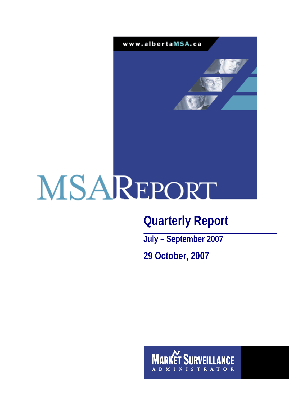

# **Quarterly Report**

**July – September 2007 29 October, 2007** 

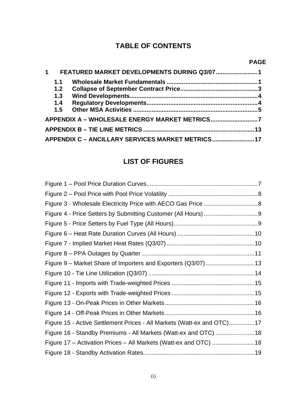# **TABLE OF CONTENTS**

# **PAGE**

| $1 \quad$ |     | FEATURED MARKET DEVELOPMENTS DURING Q3/07 1       |  |
|-----------|-----|---------------------------------------------------|--|
|           | 1.1 |                                                   |  |
|           | 1.2 |                                                   |  |
|           | 1.3 |                                                   |  |
|           | 1.4 |                                                   |  |
|           |     |                                                   |  |
|           |     |                                                   |  |
|           |     |                                                   |  |
|           |     | APPENDIX C - ANCILLARY SERVICES MARKET METRICS 17 |  |

# **LIST OF FIGURES**

| Figure 15 - Active Settlement Prices - All Markets (Watt-ex and OTC)17 |  |
|------------------------------------------------------------------------|--|
| Figure 16 - Standby Premiums - All Markets (Watt-ex and OTC)  18       |  |
| Figure 17 - Activation Prices - All Markets (Watt-ex and OTC)  18      |  |
|                                                                        |  |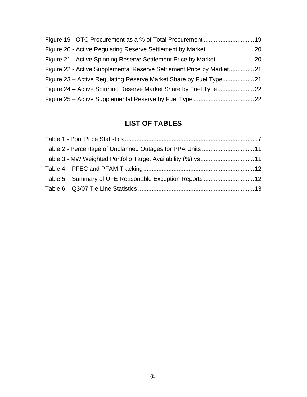| Figure 22 - Active Supplemental Reserve Settlement Price by Market21 |  |
|----------------------------------------------------------------------|--|
|                                                                      |  |
|                                                                      |  |
|                                                                      |  |

# **LIST OF TABLES**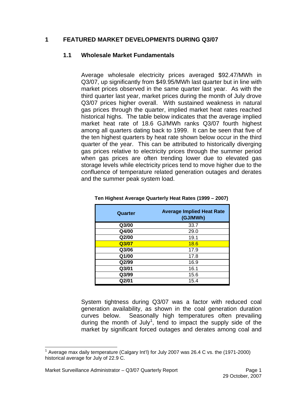#### **1 FEATURED MARKET DEVELOPMENTS DURING Q3/07**

#### **1.1 Wholesale Market Fundamentals**

Average wholesale electricity prices averaged \$92.47/MWh in Q3/07, up significantly from \$49.95/MWh last quarter but in line with market prices observed in the same quarter last year. As with the third quarter last year, market prices during the month of July drove Q3/07 prices higher overall. With sustained weakness in natural gas prices through the quarter, implied market heat rates reached historical highs. The table below indicates that the average implied market heat rate of 18.6 GJ/MWh ranks Q3/07 fourth highest among all quarters dating back to 1999. It can be seen that five of the ten highest quarters by heat rate shown below occur in the third quarter of the year. This can be attributed to historically diverging gas prices relative to electricity prices through the summer period when gas prices are often trending lower due to elevated gas storage levels while electricity prices tend to move higher due to the confluence of temperature related generation outages and derates and the summer peak system load.

| Quarter | <b>Average Implied Heat Rate</b><br>(GJ/MWh) |  |  |  |  |
|---------|----------------------------------------------|--|--|--|--|
| Q3/00   | 33.7                                         |  |  |  |  |
| Q4/00   | 29.0                                         |  |  |  |  |
| Q2/00   | 19.1                                         |  |  |  |  |
| Q3/07   | 18.6                                         |  |  |  |  |
| Q3/06   | 17.9                                         |  |  |  |  |
| Q1/00   | 17.8                                         |  |  |  |  |
| Q2/99   | 16.9                                         |  |  |  |  |
| Q3/01   | 16.1                                         |  |  |  |  |
| Q3/99   | 15.6                                         |  |  |  |  |
| Q2/01   | 15.4                                         |  |  |  |  |

|  | Ten Highest Average Quarterly Heat Rates (1999 – 2007) |
|--|--------------------------------------------------------|
|--|--------------------------------------------------------|

System tightness during Q3/07 was a factor with reduced coal generation availability, as shown in the coal generation duration curves below. Seasonally high temperatures often prevailing during the month of July<sup>1</sup>, tend to impact the supply side of the market by significant forced outages and derates among coal and

 1 Average max daily temperature (Calgary Int'l) for July 2007 was 26.4 C vs. the (1971-2000) historical average for July of 22.9 C.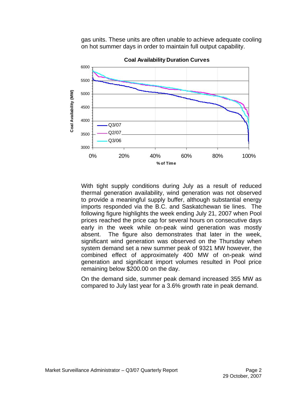gas units. These units are often unable to achieve adequate cooling on hot summer days in order to maintain full output capability.



**Coal Availability Duration Curves**

With tight supply conditions during July as a result of reduced thermal generation availability, wind generation was not observed to provide a meaningful supply buffer, although substantial energy imports responded via the B.C. and Saskatchewan tie lines. The following figure highlights the week ending July 21, 2007 when Pool prices reached the price cap for several hours on consecutive days early in the week while on-peak wind generation was mostly absent. The figure also demonstrates that later in the week, significant wind generation was observed on the Thursday when system demand set a new summer peak of 9321 MW however, the combined effect of approximately 400 MW of on-peak wind generation and significant import volumes resulted in Pool price remaining below \$200.00 on the day.

On the demand side, summer peak demand increased 355 MW as compared to July last year for a 3.6% growth rate in peak demand.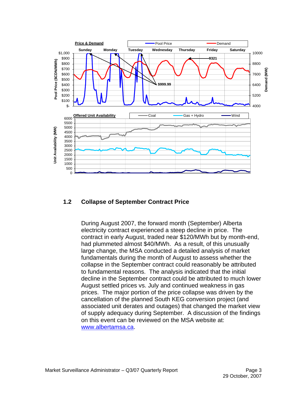

#### **1.2 Collapse of September Contract Price**

During August 2007, the forward month (September) Alberta electricity contract experienced a steep decline in price. The contract in early August, traded near \$120/MWh but by month-end, had plummeted almost \$40/MWh. As a result, of this unusually large change, the MSA conducted a detailed analysis of market fundamentals during the month of August to assess whether the collapse in the September contract could reasonably be attributed to fundamental reasons. The analysis indicated that the initial decline in the September contract could be attributed to much lower August settled prices vs. July and continued weakness in gas prices. The major portion of the price collapse was driven by the cancellation of the planned South KEG conversion project (and associated unit derates and outages) that changed the market view of supply adequacy during September. A discussion of the findings on this event can be reviewed on the MSA website at: www.albertamsa.ca.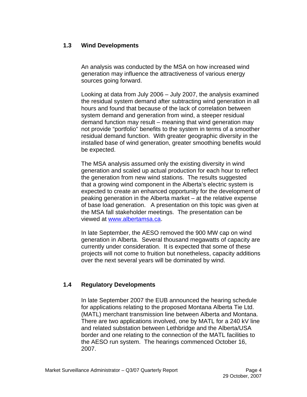# **1.3 Wind Developments**

An analysis was conducted by the MSA on how increased wind generation may influence the attractiveness of various energy sources going forward.

Looking at data from July 2006 – July 2007, the analysis examined the residual system demand after subtracting wind generation in all hours and found that because of the lack of correlation between system demand and generation from wind, a steeper residual demand function may result – meaning that wind generation may not provide "portfolio" benefits to the system in terms of a smoother residual demand function. With greater geographic diversity in the installed base of wind generation, greater smoothing benefits would be expected.

The MSA analysis assumed only the existing diversity in wind generation and scaled up actual production for each hour to reflect the generation from new wind stations. The results suggested that a growing wind component in the Alberta's electric system is expected to create an enhanced opportunity for the development of peaking generation in the Alberta market – at the relative expense of base load generation. A presentation on this topic was given at the MSA fall stakeholder meetings. The presentation can be viewed at www.albertamsa.ca.

In late September, the AESO removed the 900 MW cap on wind generation in Alberta. Several thousand megawatts of capacity are currently under consideration. It is expected that some of these projects will not come to fruition but nonetheless, capacity additions over the next several years will be dominated by wind.

## **1.4 Regulatory Developments**

In late September 2007 the EUB announced the hearing schedule for applications relating to the proposed Montana Alberta Tie Ltd. (MATL) merchant transmission line between Alberta and Montana. There are two applications involved, one by MATL for a 240 kV line and related substation between Lethbridge and the Alberta/USA border and one relating to the connection of the MATL facilities to the AESO run system. The hearings commenced October 16, 2007.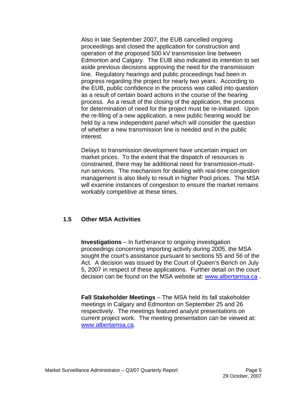Also in late September 2007, the EUB cancelled ongoing proceedings and closed the application for construction and operation of the proposed 500 kV transmission line between Edmonton and Calgary. The EUB also indicated its intention to set aside previous decisions approving the need for the transmission line. Regulatory hearings and public proceedings had been in progress regarding the project for nearly two years. According to the EUB, public confidence in the process was called into question as a result of certain board actions in the course of the hearing process. As a result of the closing of the application, the process for determination of need for the project must be re-initiated. Upon the re-filing of a new application, a new public hearing would be held by a new independent panel which will consider the question of whether a new transmission line is needed and in the public interest.

Delays to transmission development have uncertain impact on market prices. To the extent that the dispatch of resources is constrained, there may be additional need for transmission-mustrun services. The mechanism for dealing with real-time congestion management is also likely to result in higher Pool prices. The MSA will examine instances of congestion to ensure the market remains workably competitive at these times.

#### **1.5 Other MSA Activities**

**Investigations** – In furtherance to ongoing investigation proceedings concerning importing activity during 2005, the MSA sought the court's assistance pursuant to sections 55 and 56 of the Act. A decision was issued by the Court of Queen's Bench on July 5, 2007 in respect of these applications. Further detail on the court decision can be found on the MSA website at: www.albertamsa.ca .

**Fall Stakeholder Meetings** – The MSA held its fall stakeholder meetings in Calgary and Edmonton on September 25 and 26 respectively. The meetings featured analyst presentations on current project work. The meeting presentation can be viewed at: www.albertamsa.ca.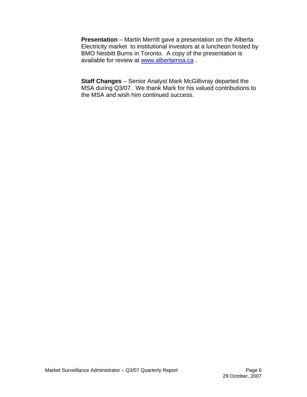**Presentation** – Martin Merritt gave a presentation on the Alberta Electricity market to institutional investors at a luncheon hosted by BMO Nesbitt Burns in Toronto. A copy of the presentation is available for review at www.albertamsa.ca .

**Staff Changes** – Senior Analyst Mark McGillivray departed the MSA during Q3/07. We thank Mark for his valued contributions to the MSA and wish him continued success.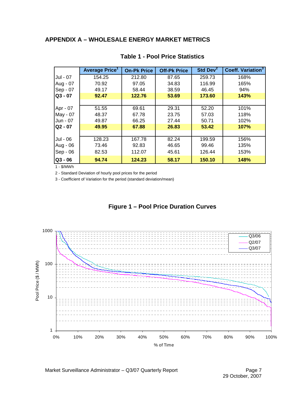# **APPENDIX A – WHOLESALE ENERGY MARKET METRICS**

|           | Average Price <sup>1</sup> | <b>On-Pk Price</b> | <b>Off-Pk Price</b> | Std Dev <sup>2</sup> | Coeff. Variation <sup>3</sup> |
|-----------|----------------------------|--------------------|---------------------|----------------------|-------------------------------|
| Jul - 07  | 154.25                     | 212.80             | 87.65               | 259.73               | 168%                          |
| Aug - 07  | 70.92                      | 97.05              | 34.83               | 116.99               | 165%                          |
| Sep - 07  | 49.17                      | 58.44              | 38.59               | 46.45                | 94%                           |
| $Q3 - 07$ | 92.47                      | 122.76             | 53.69               | 173.60               | 143%                          |
|           |                            |                    |                     |                      |                               |
| Apr - 07  | 51.55                      | 69.61              | 29.31               | 52.20                | 101%                          |
| May - 07  | 48.37                      | 67.78              | 23.75               | 57.03                | 118%                          |
| Jun - 07  | 49.87                      | 66.25              | 27.44               | 50.71                | 102%                          |
| $Q2 - 07$ | 49.95                      | 67.88              | 26.83               | 53.42                | 107%                          |
|           |                            |                    |                     |                      |                               |
| Jul - 06  | 128.23                     | 167.78             | 82.24               | 199.59               | 156%                          |
| Aug - 06  | 73.46                      | 92.83              | 46.65               | 99.46                | 135%                          |
| Sep - 06  | 82.53                      | 112.07             | 45.61               | 126.44               | 153%                          |
| $Q3 - 06$ | 94.74                      | 124.23             | 58.17               | 150.10               | 148%                          |

#### **Table 1 - Pool Price Statistics**

1 - \$/MWh

2 - Standard Deviation of hourly pool prices for the period

3 - Coefficient of Variation for the period (standard deviation/mean)



# **Figure 1 – Pool Price Duration Curves**

Market Surveillance Administrator - Q3/07 Quarterly Report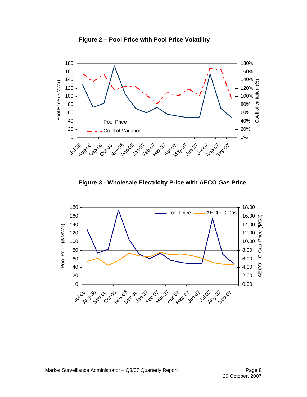



**Figure 3 - Wholesale Electricity Price with AECO Gas Price** 

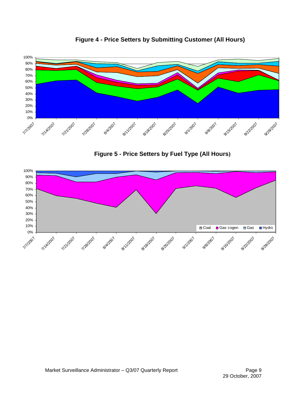

**Figure 4 - Price Setters by Submitting Customer (All Hours)** 

**Figure 5 - Price Setters by Fuel Type (All Hours)** 

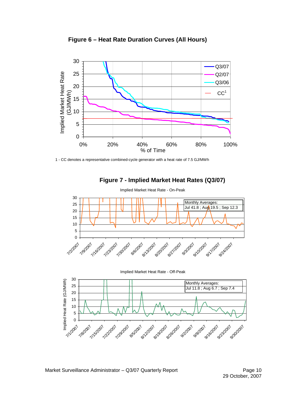



1 - CC denotes a representative combined-cycle generator with a heat rate of 7.5 GJ/MWh



#### **Figure 7 - Implied Market Heat Rates (Q3/07)**



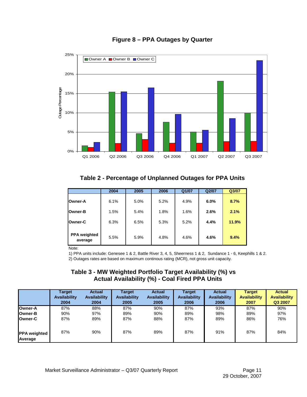

#### **Figure 8 – PPA Outages by Quarter**

# **Table 2 - Percentage of Unplanned Outages for PPA Units**

|                                | 2004 | 2005 | 2006 | Q1/07 | Q2/07 | Q3/07 |
|--------------------------------|------|------|------|-------|-------|-------|
| <b>Owner-A</b>                 | 6.1% | 5.0% | 5.2% | 4.9%  | 6.0%  | 8.7%  |
| <b>Owner-B</b>                 | 1.5% | 5.4% | 1.8% | 1.6%  | 2.6%  | 2.1%  |
| <b>Owner-C</b>                 | 6.3% | 6.5% | 5.3% | 5.2%  | 4.4%  | 11.9% |
| <b>PPA</b> weighted<br>average | 5.5% | 5.9% | 4.8% | 4.6%  | 4.6%  | 9.4%  |

Note:

1) PPA units include: Genesee 1 & 2, Battle River 3, 4, 5, Sheerness 1 & 2, Sundance 1 - 6, Keephills 1 & 2. 2) Outages rates are based on maximum continous rating (MCR), not gross unit capacity.

#### **Table 3 - MW Weighted Portfolio Target Availability (%) vs Actual Availability (%) - Coal Fired PPA Units**

|                                | <b>Target</b>       | <b>Actual</b> | Target              | <b>Actual</b> | Target       | <b>Actual</b> | <b>Target</b>       | <b>Actual</b>       |
|--------------------------------|---------------------|---------------|---------------------|---------------|--------------|---------------|---------------------|---------------------|
|                                | <b>Availability</b> | Availability  | <b>Availability</b> | Availability  | Availability | Availability  | <b>Availability</b> | <b>Availability</b> |
|                                | 2004                | 2004          | 2005                | 2005          | 2006         | 2006          | 2007                | Q3 2007             |
| Owner-A                        | 87%                 | 88%           | 87%                 | 90%           | 87%          | 93%           | 87%                 | 90%                 |
| <b>Owner-B</b>                 | 90%                 | 97%           | 89%                 | 90%           | 89%          | 98%           | 89%                 | 97%                 |
| <b>Owner-C</b>                 | 87%                 | 89%           | 87%                 | 88%           | 87%          | 89%           | 86%                 | 76%                 |
| <b>PPA</b> weighted<br>Average | 87%                 | 90%           | 87%                 | 89%           | 87%          | 91%           | 87%                 | 84%                 |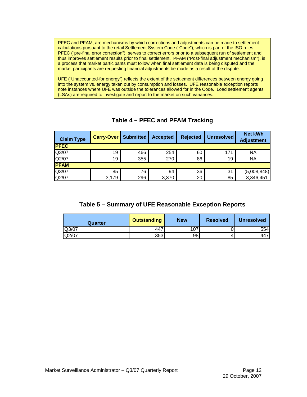PFEC and PFAM, are mechanisms by which corrections and adjustments can be made to settlement calculations pursuant to the retail Settlement System Code ("Code"), which is part of the ISO rules. PFEC ("pre-final error correction"), serves to correct errors prior to a subsequent run of settlement and thus improves settlement results prior to final settlement. PFAM ("Post-final adjustment mechanism"), is a process that market participants must follow when final settlement data is being disputed and the market participants are requesting financial adjustments be made as a result of the dispute.

UFE ("Unaccounted-for energy") reflects the extent of the settlement differences between energy going into the system vs. energy taken out by consumption and losses. UFE reasonable exception reports note instances where UFE was outside the tolerances allowed for in the Code. Load settlement agents (LSAs) are required to investigate and report to the market on such variances.

| <b>Claim Type</b> | <b>Carry-Over</b> | <b>Submitted</b> | <b>Accepted</b> | <b>Rejected</b> | <b>Unresolved</b> | <b>Net kWh</b><br><b>Adjustment</b> |  |
|-------------------|-------------------|------------------|-----------------|-----------------|-------------------|-------------------------------------|--|
| <b>PFEC</b>       |                   |                  |                 |                 |                   |                                     |  |
| Q3/07             | 19                | 466              | 254             | 60              | 171               | <b>NA</b>                           |  |
| Q2/07             | 19                | 355              | 270             | 86              | 19                | <b>NA</b>                           |  |
| <b>PFAM</b>       |                   |                  |                 |                 |                   |                                     |  |
| Q3/07             | 85                | 76               | 94              | 36              | 31                | (5,008,848)                         |  |
| Q2/07             | 3,179             | 296              | 3,370           | 20              | 85                | 3,346,451                           |  |

# **Table 4 – PFEC and PFAM Tracking**

#### **Table 5 – Summary of UFE Reasonable Exception Reports**

| Quarter | <b>Outstanding</b> | <b>New</b> | <b>Resolved</b> | <b>Unresolved</b> |
|---------|--------------------|------------|-----------------|-------------------|
| Q3/07   | 447                | ، ن        |                 | 554 <sub>l</sub>  |
| Q2/07   | 353                | 98         |                 | 447               |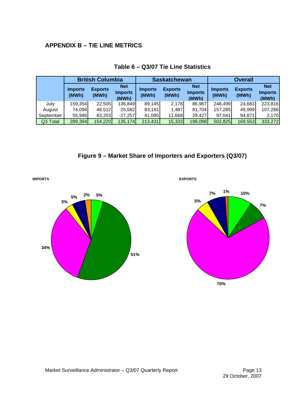# **APPENDIX B – TIE LINE METRICS**

|           | <b>British Columbia</b> |                         |                                       |                         | <b>Saskatchewan</b>     |                                       | <b>Overall</b>          |                         |                                       |
|-----------|-------------------------|-------------------------|---------------------------------------|-------------------------|-------------------------|---------------------------------------|-------------------------|-------------------------|---------------------------------------|
|           | <b>Imports</b><br>(MWh) | <b>Exports</b><br>(MWh) | <b>Net</b><br><b>Imports</b><br>(MWh) | <b>Imports</b><br>(MWh) | <b>Exports</b><br>(MWh) | <b>Net</b><br><b>Imports</b><br>(MWh) | <b>Imports</b><br>(MWh) | <b>Exports</b><br>(MWh) | <b>Net</b><br><b>Imports</b><br>(MWh) |
| July      | 159,354                 | 22,505                  | 136,849                               | 89,145                  | 2,178                   | 86.967                                | 248,499                 | 24,683                  | 223,816                               |
| August    | 74.094                  | 48,512                  | 25,582                                | 83,191                  | 1,487                   | 81,704                                | 157,285                 | 49.999                  | 107,286                               |
| September | 55,946                  | 83,203                  | $-27,257$                             | 41,095                  | 11,668                  | 29.427                                | 97,041                  | 94.871                  | 2,170                                 |
| Q3 Total  | 289,394                 | 154,220                 | 135,174                               | 213,431                 | 15,333                  | 198,098                               | 502,825                 | 169,553                 | 333,272                               |

#### **Table 6 – Q3/07 Tie Line Statistics**





**IMPORTS EXPORTS**

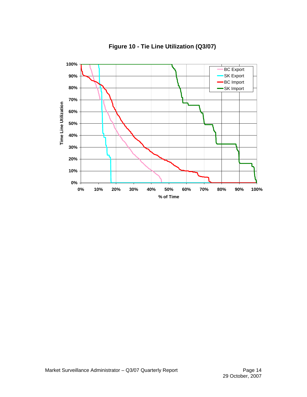

**Figure 10 - Tie Line Utilization (Q3/07)**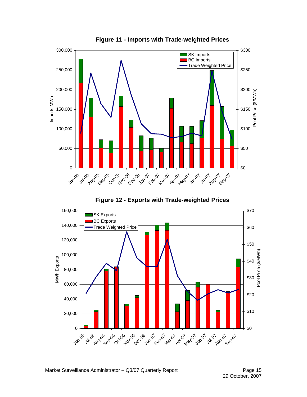

**Figure 11 - Imports with Trade-weighted Prices** 

**Figure 12 - Exports with Trade-weighted Prices** 

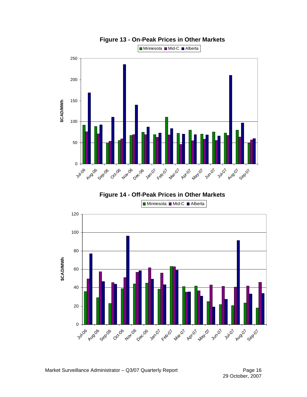

**Figure 13 - On-Peak Prices in Other Markets** 

**Figure 14 - Off-Peak Prices in Other Markets** 

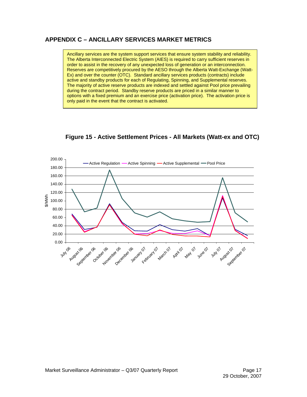# **APPENDIX C – ANCILLARY SERVICES MARKET METRICS**

Ancillary services are the system support services that ensure system stability and reliability. The Alberta Interconnected Electric System (AIES) is required to carry sufficient reserves in order to assist in the recovery of any unexpected loss of generation or an interconnection. Reserves are competitively procured by the AESO through the Alberta Watt-Exchange (Watt-Ex) and over the counter (OTC). Standard ancillary services products (contracts) include active and standby products for each of Regulating, Spinning, and Supplemental reserves. The majority of active reserve products are indexed and settled against Pool price prevailing during the contract period. Standby reserve products are priced in a similar manner to options with a fixed premium and an exercise price (activation price). The activation price is only paid in the event that the contract is activated.



## **Figure 15 - Active Settlement Prices - All Markets (Watt-ex and OTC)**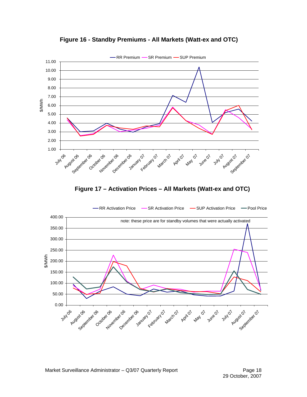

**Figure 16 - Standby Premiums - All Markets (Watt-ex and OTC)** 



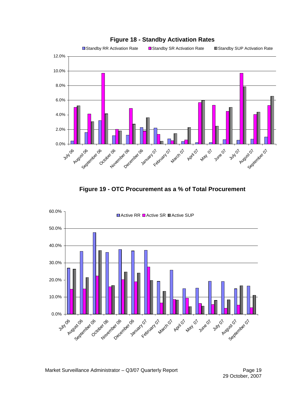

#### **Figure 18 - Standby Activation Rates**

**Figure 19 - OTC Procurement as a % of Total Procurement** 

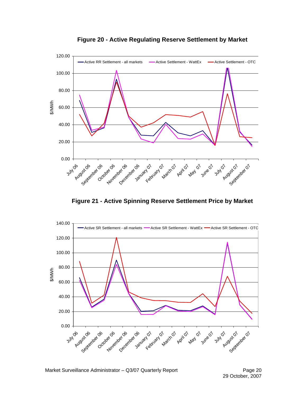

**Figure 20 - Active Regulating Reserve Settlement by Market** 

**Figure 21 - Active Spinning Reserve Settlement Price by Market** 

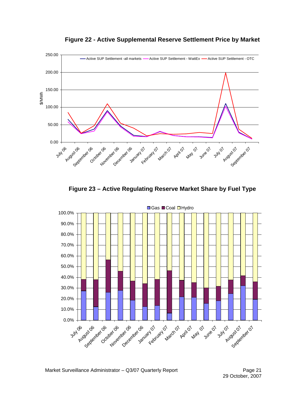

**Figure 22 - Active Supplemental Reserve Settlement Price by Market** 

**Figure 23 – Active Regulating Reserve Market Share by Fuel Type** 



■Gas ■Coal □Hydro